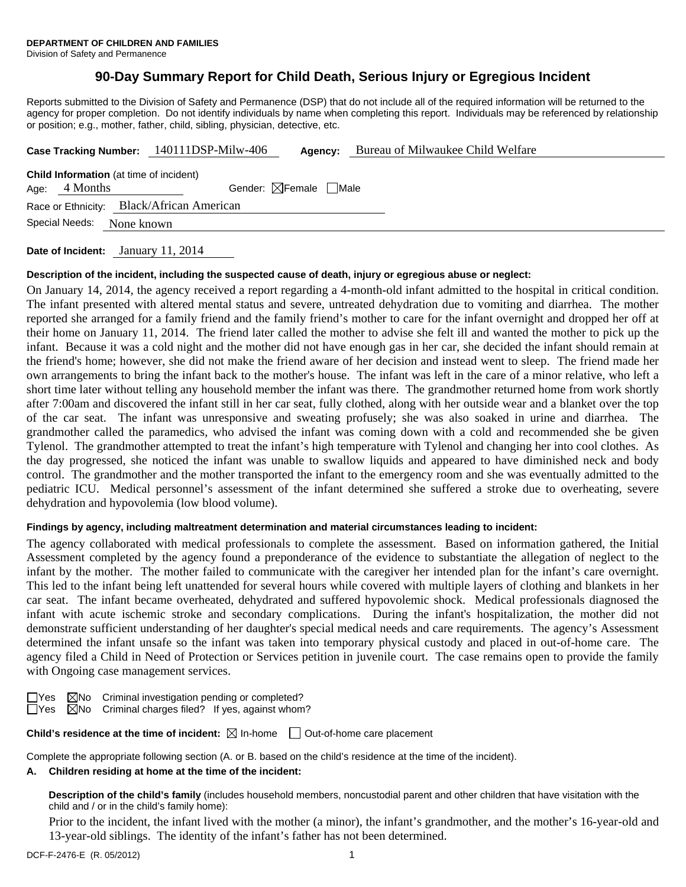Division of Safety and Permanence

# **90-Day Summary Report for Child Death, Serious Injury or Egregious Incident**

Reports submitted to the Division of Safety and Permanence (DSP) that do not include all of the required information will be returned to the agency for proper completion. Do not identify individuals by name when completing this report. Individuals may be referenced by relationship or position; e.g., mother, father, child, sibling, physician, detective, etc.

|                                                                   |                |            | Case Tracking Number: 140111DSP-Milw-406  |  | Agency:                                | Bureau of Milwaukee Child Welfare |  |
|-------------------------------------------------------------------|----------------|------------|-------------------------------------------|--|----------------------------------------|-----------------------------------|--|
| <b>Child Information</b> (at time of incident)<br>Age: $4$ Months |                |            |                                           |  | Gender: $\boxtimes$ Female $\Box$ Male |                                   |  |
|                                                                   |                |            | Race or Ethnicity: Black/African American |  |                                        |                                   |  |
|                                                                   | Special Needs: | None known |                                           |  |                                        |                                   |  |

**Date of Incident:** January 11, 2014

#### **Description of the incident, including the suspected cause of death, injury or egregious abuse or neglect:**

On January 14, 2014, the agency received a report regarding a 4-month-old infant admitted to the hospital in critical condition. The infant presented with altered mental status and severe, untreated dehydration due to vomiting and diarrhea. The mother reported she arranged for a family friend and the family friend's mother to care for the infant overnight and dropped her off at their home on January 11, 2014. The friend later called the mother to advise she felt ill and wanted the mother to pick up the infant. Because it was a cold night and the mother did not have enough gas in her car, she decided the infant should remain at the friend's home; however, she did not make the friend aware of her decision and instead went to sleep. The friend made her own arrangements to bring the infant back to the mother's house. The infant was left in the care of a minor relative, who left a short time later without telling any household member the infant was there. The grandmother returned home from work shortly after 7:00am and discovered the infant still in her car seat, fully clothed, along with her outside wear and a blanket over the top of the car seat. The infant was unresponsive and sweating profusely; she was also soaked in urine and diarrhea. The grandmother called the paramedics, who advised the infant was coming down with a cold and recommended she be given Tylenol. The grandmother attempted to treat the infant's high temperature with Tylenol and changing her into cool clothes. As the day progressed, she noticed the infant was unable to swallow liquids and appeared to have diminished neck and body control. The grandmother and the mother transported the infant to the emergency room and she was eventually admitted to the pediatric ICU. Medical personnel's assessment of the infant determined she suffered a stroke due to overheating, severe dehydration and hypovolemia (low blood volume).

#### **Findings by agency, including maltreatment determination and material circumstances leading to incident:**

The agency collaborated with medical professionals to complete the assessment. Based on information gathered, the Initial Assessment completed by the agency found a preponderance of the evidence to substantiate the allegation of neglect to the infant by the mother. The mother failed to communicate with the caregiver her intended plan for the infant's care overnight. This led to the infant being left unattended for several hours while covered with multiple layers of clothing and blankets in her car seat. The infant became overheated, dehydrated and suffered hypovolemic shock. Medical professionals diagnosed the infant with acute ischemic stroke and secondary complications. During the infant's hospitalization, the mother did not demonstrate sufficient understanding of her daughter's special medical needs and care requirements. The agency's Assessment determined the infant unsafe so the infant was taken into temporary physical custody and placed in out-of-home care. The agency filed a Child in Need of Protection or Services petition in juvenile court. The case remains open to provide the family with Ongoing case management services.

 $\Box$ Yes  $\boxtimes$ No Criminal investigation pending or completed?

 $\Box$ Yes  $\boxtimes$ No Criminal charges filed? If yes, against whom?

**Child's residence at the time of incident:**  $\boxtimes$  In-home  $\Box$  Out-of-home care placement

Complete the appropriate following section (A. or B. based on the child's residence at the time of the incident).

#### **A. Children residing at home at the time of the incident:**

**Description of the child's family** (includes household members, noncustodial parent and other children that have visitation with the child and / or in the child's family home):

 Prior to the incident, the infant lived with the mother (a minor), the infant's grandmother, and the mother's 16-year-old and 13-year-old siblings. The identity of the infant's father has not been determined.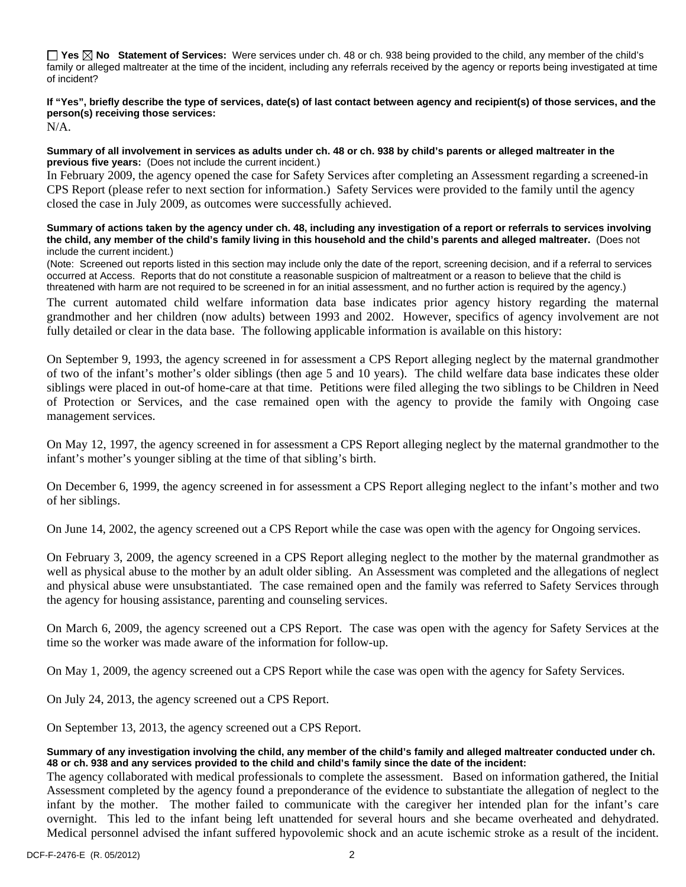**Yes No Statement of Services:** Were services under ch. 48 or ch. 938 being provided to the child, any member of the child's family or alleged maltreater at the time of the incident, including any referrals received by the agency or reports being investigated at time of incident?

# **If "Yes", briefly describe the type of services, date(s) of last contact between agency and recipient(s) of those services, and the person(s) receiving those services:**

N/A.

#### **Summary of all involvement in services as adults under ch. 48 or ch. 938 by child's parents or alleged maltreater in the previous five years:** (Does not include the current incident.)

In February 2009, the agency opened the case for Safety Services after completing an Assessment regarding a screened-in CPS Report (please refer to next section for information.) Safety Services were provided to the family until the agency closed the case in July 2009, as outcomes were successfully achieved.

#### **Summary of actions taken by the agency under ch. 48, including any investigation of a report or referrals to services involving the child, any member of the child's family living in this household and the child's parents and alleged maltreater.** (Does not include the current incident.)

(Note: Screened out reports listed in this section may include only the date of the report, screening decision, and if a referral to services occurred at Access. Reports that do not constitute a reasonable suspicion of maltreatment or a reason to believe that the child is threatened with harm are not required to be screened in for an initial assessment, and no further action is required by the agency.)

The current automated child welfare information data base indicates prior agency history regarding the maternal grandmother and her children (now adults) between 1993 and 2002. However, specifics of agency involvement are not fully detailed or clear in the data base. The following applicable information is available on this history:

On September 9, 1993, the agency screened in for assessment a CPS Report alleging neglect by the maternal grandmother of two of the infant's mother's older siblings (then age 5 and 10 years). The child welfare data base indicates these older siblings were placed in out-of home-care at that time. Petitions were filed alleging the two siblings to be Children in Need of Protection or Services, and the case remained open with the agency to provide the family with Ongoing case management services.

On May 12, 1997, the agency screened in for assessment a CPS Report alleging neglect by the maternal grandmother to the infant's mother's younger sibling at the time of that sibling's birth.

On December 6, 1999, the agency screened in for assessment a CPS Report alleging neglect to the infant's mother and two of her siblings.

On June 14, 2002, the agency screened out a CPS Report while the case was open with the agency for Ongoing services.

On February 3, 2009, the agency screened in a CPS Report alleging neglect to the mother by the maternal grandmother as well as physical abuse to the mother by an adult older sibling. An Assessment was completed and the allegations of neglect and physical abuse were unsubstantiated. The case remained open and the family was referred to Safety Services through the agency for housing assistance, parenting and counseling services.

On March 6, 2009, the agency screened out a CPS Report. The case was open with the agency for Safety Services at the time so the worker was made aware of the information for follow-up.

On May 1, 2009, the agency screened out a CPS Report while the case was open with the agency for Safety Services.

On July 24, 2013, the agency screened out a CPS Report.

On September 13, 2013, the agency screened out a CPS Report.

## **Summary of any investigation involving the child, any member of the child's family and alleged maltreater conducted under ch. 48 or ch. 938 and any services provided to the child and child's family since the date of the incident:**

The agency collaborated with medical professionals to complete the assessment. Based on information gathered, the Initial Assessment completed by the agency found a preponderance of the evidence to substantiate the allegation of neglect to the infant by the mother. The mother failed to communicate with the caregiver her intended plan for the infant's care overnight. This led to the infant being left unattended for several hours and she became overheated and dehydrated. Medical personnel advised the infant suffered hypovolemic shock and an acute ischemic stroke as a result of the incident.